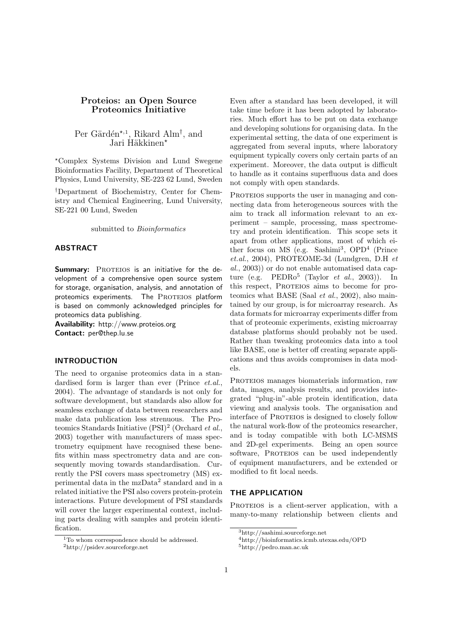# Proteios: an Open Source Proteomics Initiative

Per Gärdén<sup>\*,1</sup>, Rikard Alm<sup>†</sup>, and Jari Häkkinen\*

?Complex Systems Division and Lund Swegene Bioinformatics Facility, Department of Theoretical Physics, Lund University, SE-223 62 Lund, Sweden

†Department of Biochemistry, Center for Chemistry and Chemical Engineering, Lund University, SE-221 00 Lund, Sweden

submitted to *Bioinformatics* 

#### ABSTRACT

Summary: PROTEIOS is an initiative for the development of a comprehensive open source system for storage, organisation, analysis, and annotation of proteomics experiments. The PROTEIOS platform is based on commonly acknowledged principles for proteomics data publishing.

Availability: http://www.proteios.org Contact: per@thep.lu.se

#### INTRODUCTION

The need to organise proteomics data in a standardised form is larger than ever (Prince *et.al.*, 2004). The advantage of standards is not only for software development, but standards also allow for seamless exchange of data between researchers and make data publication less strenuous. The Proteomics Standards Initiative  $(PSI)^2$  (Orchard *et al.*, 2003) together with manufacturers of mass spectrometry equipment have recognised these benefits within mass spectrometry data and are consequently moving towards standardisation. Currently the PSI covers mass spectrometry (MS) experimental data in the mzData<sup>2</sup> standard and in a related initiative the PSI also covers protein-protein interactions. Future development of PSI standards will cover the larger experimental context, including parts dealing with samples and protein identification.

Even after a standard has been developed, it will take time before it has been adopted by laboratories. Much effort has to be put on data exchange and developing solutions for organising data. In the experimental setting, the data of one experiment is aggregated from several inputs, where laboratory equipment typically covers only certain parts of an experiment. Moreover, the data output is difficult to handle as it contains superfluous data and does not comply with open standards.

PROTEIOS supports the user in managing and connecting data from heterogeneous sources with the aim to track all information relevant to an experiment – sample, processing, mass spectrometry and protein identification. This scope sets it apart from other applications, most of which either focus on MS (e.g. Sashimi<sup>3</sup>, OPD<sup>4</sup> (Prince et.al., 2004), PROTEOME-3d (Lundgren, D.H et al., 2003)) or do not enable automatised data capture (e.g.  $\text{PEDRo}^5$  (Taylor *et al.*, 2003)). In this respect, PROTEIOS aims to become for proteomics what BASE (Saal  $et$   $al., 2002$ ), also maintained by our group, is for microarray research. As data formats for microarray experiments differ from that of proteomic experiments, existing microarray database platforms should probably not be used. Rather than tweaking proteomics data into a tool like BASE, one is better off creating separate applications and thus avoids compromises in data models.

PROTEIOS manages biomaterials information, raw data, images, analysis results, and provides integrated "plug-in"-able protein identification, data viewing and analysis tools. The organisation and interface of PROTEIOS is designed to closely follow the natural work-flow of the proteomics researcher, and is today compatible with both LC-MSMS and 2D-gel experiments. Being an open source software, PROTEIOS can be used independently of equipment manufacturers, and be extended or modified to fit local needs.

## THE APPLICATION

PROTEIOS is a client-server application, with a many-to-many relationship between clients and

<sup>&</sup>lt;sup>1</sup>To whom correspondence should be addressed.

<sup>2</sup>http://psidev.sourceforge.net

<sup>3</sup>http://sashimi.sourceforge.net

<sup>4</sup>http://bioinformatics.icmb.utexas.edu/OPD

 $5\mathrm{http://pedro.man.ac.uk}$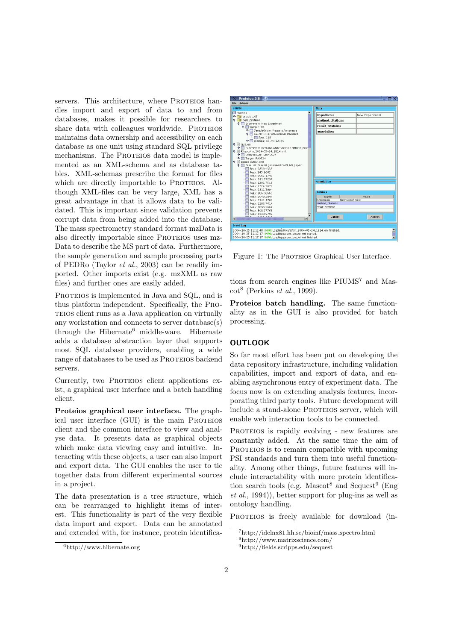servers. This architecture, where PROTEIOS handles import and export of data to and from databases, makes it possible for researchers to share data with colleagues worldwide. PROTEIOS maintains data ownership and accessibility on each database as one unit using standard SQL privilege mechanisms. The PROTEIOS data model is implemented as an XML-schema and as database tables. XML-schemas prescribe the format for files which are directly importable to PROTEIOS. Although XML-files can be very large, XML has a great advantage in that it allows data to be validated. This is important since validation prevents corrupt data from being added into the database. The mass spectrometry standard format mzData is also directly importable since PROTEIOS uses mz-Data to describe the MS part of data. Furthermore, the sample generation and sample processing parts of PEDRo (Taylor et al., 2003) can be readily imported. Other imports exist (e.g. mzXML as raw files) and further ones are easily added.

PROTEIOS is implemented in Java and SQL, and is thus platform independent. Specifically, the Proteios client runs as a Java application on virtually any workstation and connects to server database(s) through the Hibernate<sup>6</sup> middle-ware. Hibernate adds a database abstraction layer that supports most SQL database providers, enabling a wide range of databases to be used as PROTEIOS backend servers.

Currently, two PROTEIOS client applications exist, a graphical user interface and a batch handling client.

Proteios graphical user interface. The graphical user interface (GUI) is the main PROTEIOS client and the common interface to view and analyse data. It presents data as graphical objects which make data viewing easy and intuitive. Interacting with these objects, a user can also import and export data. The GUI enables the user to tie together data from different experimental sources in a project.

The data presentation is a tree structure, which can be rearranged to highlight items of interest. This functionality is part of the very flexible data import and export. Data can be annotated and extended with, for instance, protein identifica-

| Proteios 0.6 9                                                                               |                              |                |  |
|----------------------------------------------------------------------------------------------|------------------------------|----------------|--|
| Admin<br><b>File</b>                                                                         |                              |                |  |
| <b>Source</b>                                                                                | Data                         |                |  |
| Proteios<br>proteios_05<br>۰.                                                                | hypothesis                   | New Experiment |  |
| <b>Q</b> pers_proteios<br><b>9 Experiment: New Experiment</b>                                | method_citations             |                |  |
| <b>Q</b> Sample: 76                                                                          | result_citations             |                |  |
| TampleOrigin: Fragaria Annanassa<br><b>. IST</b> GeI2D: DIGE with internal standard          | annotation                   |                |  |
| Spot: 118                                                                                    |                              |                |  |
| mzData: psi-ms: 12345<br>$\bullet$ $\equiv$ lass xml                                         |                              |                |  |
| E El Experiment: Red and white varieties differ in prot<br>P RikardAlm. 2004-05-24. 1814.xml |                              |                |  |
| TE EttanPickGel: RA040524                                                                    |                              |                |  |
| C Target: RA0524<br>pepex_output.xml<br>ę.                                                   |                              |                |  |
| <b>PET PeakList: Peaklist generated by PIUMS pepex.</b>                                      |                              |                |  |
| <b>B</b> Peak: 2839.4333                                                                     |                              |                |  |
| Peak: 845 9662<br>Peak: 2062.1749                                                            |                              |                |  |
| Peak: 811.27297                                                                              |                              |                |  |
| Peak: 1201.7516                                                                              | <b>Annotation</b>            |                |  |
| Peak: 2224.2673                                                                              |                              |                |  |
| Peak: 2811.3994<br>Peak: 986 60665                                                           | <b>Fntities</b>              |                |  |
| Peak: 2049.2847                                                                              | Name                         | Value          |  |
| Peak: 2343.1762                                                                              | New Experiment<br>hypothesis |                |  |
| Peak: 1286.7614                                                                              | method.citations             |                |  |
| Peak: 1890.2664<br>Peak: 808.27766                                                           | result_citations             |                |  |
| Peak: 1948.9799                                                                              |                              |                |  |
| ٠                                                                                            | Cancel                       | Accept         |  |
|                                                                                              |                              |                |  |
| <b>Event Log</b>                                                                             |                              |                |  |
| $\frac{1}{2}$<br>2004-10-25 11:15:48. INFO: Loading RikardAlm 2004-05-24 1814.xml finished.  |                              |                |  |
| 2004-10-25 11:17:17, INFO: Loading pepex_output.xml started.                                 |                              |                |  |
| 2004-10-25 11:17:17. INFO: Loading pepex_output.xml finished.<br>÷                           |                              |                |  |

Figure 1: The PROTEIOS Graphical User Interface.

tions from search engines like  $PIUMS<sup>7</sup>$  and Mas- $\cot^8$  (Perkins *et al.*, 1999).

Proteios batch handling. The same functionality as in the GUI is also provided for batch processing.

### OUTLOOK

So far most effort has been put on developing the data repository infrastructure, including validation capabilities, import and export of data, and enabling asynchronous entry of experiment data. The focus now is on extending analysis features, incorporating third party tools. Future development will include a stand-alone PROTEIOS server, which will enable web interaction tools to be connected.

PROTEIOS is rapidly evolving - new features are constantly added. At the same time the aim of PROTEIOS is to remain compatible with upcoming PSI standards and turn them into useful functionality. Among other things, future features will include interactability with more protein identification search tools (e.g. Mascot<sup>8</sup> and Sequest<sup>9</sup> (Eng) et al., 1994)), better support for plug-ins as well as ontology handling.

PROTEIOS is freely available for download (in-

<sup>6</sup>http://www.hibernate.org

<sup>7</sup>http://idelnx81.hh.se/bioinf/mass spectro.html

<sup>8</sup>http://www.matrixscience.com/

<sup>9</sup>http://fields.scripps.edu/sequest